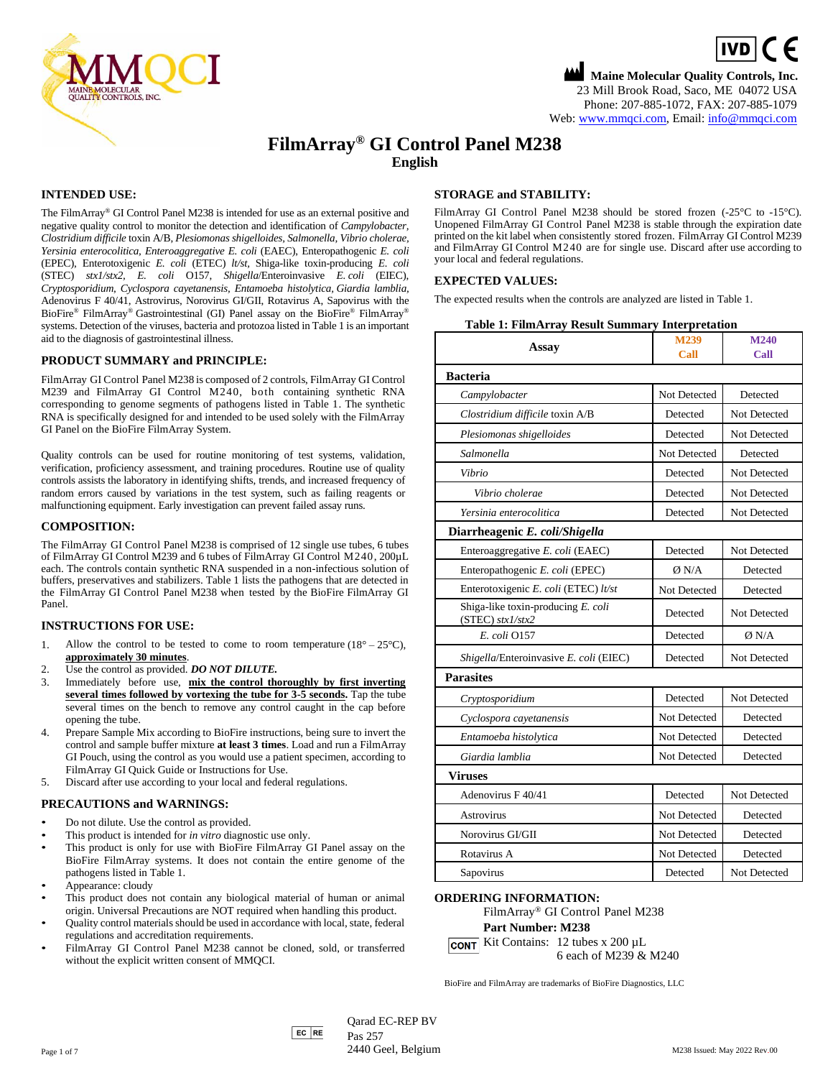

# **Maine Molecular Quality Controls, Inc.**  $\boxed{IVD}$  (  $\in$ 23 Mill Brook Road, Saco, ME 04072 USA Phone: 207-885-1072, FAX: 207-885-1079 Web[: www.mmqci.com,](file://///FS1/Common/Company/CE%20Marking/M238/Translation/Translation%20Received%2005.12.2022/www.mmqci.com) Email: [info@mmqci.com](mailto:info@mmqci.com)

# **FilmArray® GI Control Panel M238 English**

# **INTENDED USE:**

The FilmArray® GI Control Panel M238 is intended for use as an external positive and negative quality control to monitor the detection and identification of *Campylobacter, Clostridium difficile* toxin A/B, *Plesiomonas shigelloides, Salmonella, Vibrio cholerae, Yersinia enterocolitica, Enteroaggregative E. coli* (EAEC), Enteropathogenic *E. coli* (EPEC), Enterotoxigenic *E. coli* (ETEC) *lt/st,* Shiga-like toxin-producing *E. coli* (STEC) *stx1/stx2, E. coli* O157, *Shigella*/Enteroinvasive *E. coli* (EIEC), *Cryptosporidium*, *Cyclospora cayetanensis, Entamoeba histolytica, Giardia lamblia,*  Adenovirus F 40/41, Astrovirus, Norovirus GI/GII, Rotavirus A, Sapovirus with the BioFire® FilmArray® Gastrointestinal (GI) Panel assay on the BioFire® FilmArray® systems. Detection of the viruses, bacteria and protozoa listed in Table 1 is an important aid to the diagnosis of gastrointestinal illness.

# **PRODUCT SUMMARY and PRINCIPLE:**

FilmArray GI Control Panel M238 is composed of 2 controls, FilmArray GI Control M239 and FilmArray GI Control M240, both containing synthetic RNA corresponding to genome segments of pathogens listed in Table 1. The synthetic RNA is specifically designed for and intended to be used solely with the FilmArray GI Panel on the BioFire FilmArray System.

Quality controls can be used for routine monitoring of test systems, validation, verification, proficiency assessment, and training procedures. Routine use of quality controls assists the laboratory in identifying shifts, trends, and increased frequency of random errors caused by variations in the test system, such as failing reagents or malfunctioning equipment. Early investigation can prevent failed assay runs.

# **COMPOSITION:**

The FilmArray GI Control Panel M238 is comprised of 12 single use tubes, 6 tubes of FilmArray GI Control M239 and 6 tubes of FilmArray GI Control M240, 200µL each. The controls contain synthetic RNA suspended in a non-infectious solution of buffers, preservatives and stabilizers. Table 1 lists the pathogens that are detected in the FilmArray GI Control Panel M238 when tested by the BioFire FilmArray GI Panel.

# **INSTRUCTIONS FOR USE:**

- 1. Allow the control to be tested to come to room temperature  $(18^{\circ} 25^{\circ}C)$ , **approximately 30 minutes**.
- 2. Use the control as provided. *DO NOT DILUTE.*
- 3. Immediately before use, **mix the control thoroughly by first inverting several times followed by vortexing the tube for 3-5 seconds.** Tap the tube several times on the bench to remove any control caught in the cap before opening the tube.
- 4. Prepare Sample Mix according to BioFire instructions, being sure to invert the control and sample buffer mixture **at least 3 times**. Load and run a FilmArray GI Pouch, using the control as you would use a patient specimen, according to FilmArray GI Quick Guide or Instructions for Use.
- 5. Discard after use according to your local and federal regulations.

#### **PRECAUTIONS and WARNINGS:**

- Do not dilute. Use the control as provided.
- This product is intended for *in vitro* diagnostic use only.
- This product is only for use with BioFire FilmArray GI Panel assay on the BioFire FilmArray systems. It does not contain the entire genome of the pathogens listed in Table 1.
- Appearance: cloudy
- This product does not contain any biological material of human or animal origin. Universal Precautions are NOT required when handling this product.
- Quality control materials should be used in accordance with local, state, federal regulations and accreditation requirements.
- FilmArray GI Control Panel M238 cannot be cloned, sold, or transferred without the explicit written consent of MMQCI.

# **STORAGE and STABILITY:**

FilmArray GI Control Panel M238 should be stored frozen (-25 °C to -15 °C). Unopened FilmArray GI Control Panel M238 is stable through the expiration date printed on the kit label when consistently stored frozen. FilmArray GI Control M239 and FilmArray GI Control M240 are for single use. Discard after use according to your local and federal regulations.

## **EXPECTED VALUES:**

The expected results when the controls are analyzed are listed in Table 1.

| <b>Table 1: FilmArray Result Summary Interpretation</b> |  |  |
|---------------------------------------------------------|--|--|
|---------------------------------------------------------|--|--|

| Assay                                                    | M239<br>Call | M240<br>Call        |
|----------------------------------------------------------|--------------|---------------------|
| <b>Bacteria</b>                                          |              |                     |
| Campylobacter                                            | Not Detected | Detected            |
| Clostridium difficile toxin A/B                          | Detected     | Not Detected        |
| Plesiomonas shigelloides                                 | Detected     | Not Detected        |
| Salmonella                                               | Not Detected | Detected            |
| Vibrio                                                   | Detected     | Not Detected        |
| Vibrio cholerae                                          | Detected     | Not Detected        |
| Yersinia enterocolitica                                  | Detected     | <b>Not Detected</b> |
| Diarrheagenic E. coli/Shigella                           |              |                     |
| Enteroaggregative E. coli (EAEC)                         | Detected     | <b>Not Detected</b> |
| Enteropathogenic E. coli (EPEC)                          | Ø N/A        | Detected            |
| Enterotoxigenic E. coli (ETEC) lt/st                     | Not Detected | Detected            |
| Shiga-like toxin-producing E. coli<br>$(STEC)$ stx1/stx2 | Detected     | Not Detected        |
| E. coli 0157                                             | Detected     | $\emptyset$ N/A     |
| Shigella/Enteroinvasive E. coli (EIEC)                   | Detected     | Not Detected        |
| <b>Parasites</b>                                         |              |                     |
| Cryptosporidium                                          | Detected     | Not Detected        |
| Cyclospora cayetanensis                                  | Not Detected | Detected            |
| Entamoeba histolytica                                    | Not Detected | Detected            |
| Giardia lamblia                                          | Not Detected | Detected            |
| <b>Viruses</b>                                           |              |                     |
| Adenovirus F 40/41                                       | Detected     | Not Detected        |
| Astrovirus                                               | Not Detected | Detected            |
| Norovirus GI/GII                                         | Not Detected | Detected            |
| Rotavirus A                                              | Not Detected | Detected            |
| Sapovirus                                                | Detected     | Not Detected        |

# **ORDERING INFORMATION:**

FilmArray ® GI Control Panel M238 **Part Number: M238**

**CONT** Kit Contains:  $12$  tubes x  $200 \mu L$ 6 each of M239 & M240

BioFire and FilmArray are trademarks of BioFire Diagnostics, LLC

 $Qarad EC-REF BV$ Pas 257 Page 1 of 7 M238 Issued: May 2022 Rev.00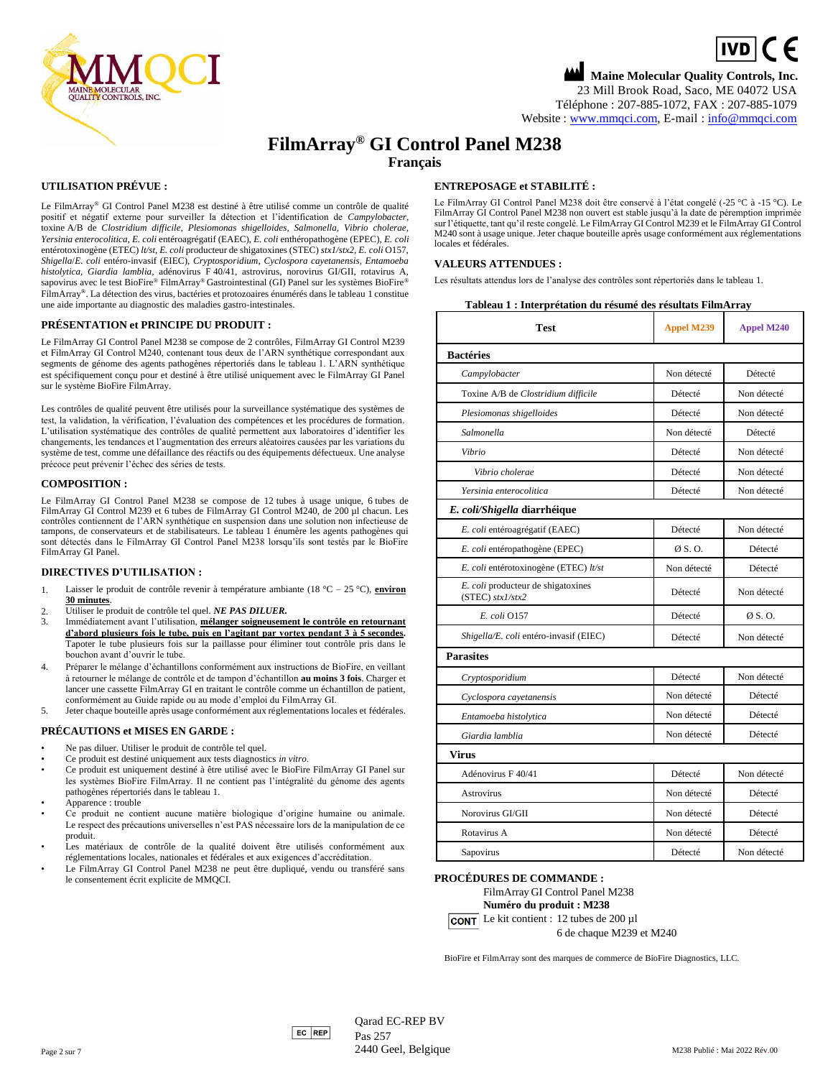

# **Maine Molecular Quality Controls, Inc.**  $\boxed{IVD}$  (  $\in$ 23 Mill Brook Road, Saco, ME 04072 USA Téléphone : 207-885-1072, FAX : 207-885-1079 Website : [www.mmqci.com,](file://///FS1/Common/Company/CE%20Marking/M238/Translation/Translation%20Received%2005.12.2022/www.mmqci.com) E-mail : [info@mmqci.com](mailto:info@mmqci.com)

# **FilmArray® GI Control Panel M238 Français**

# **UTILISATION PRÉVUE :**

Le FilmArray® GI Control Panel M238 est destiné à être utilisé comme un contrôle de qualité positif et négatif externe pour surveiller la détection et l'identification de *Campylobacter,* toxine A/B de *Clostridium difficile*, *Plesiomonas shigelloides, Salmonella, Vibrio cholerae, Yersinia enterocolitica, E. coli* entéroagrégatif (EAEC), *E. coli* enthéropathogène (EPEC), *E. coli* entérotoxinogène (ETEC) *lt/st, E. coli* producteur de shigatoxines (STEC) *stx1/stx2, E. coli* O157, *Shigella*/*E. coli* entéro-invasif (EIEC), *Cryptosporidium*, *Cyclospora cayetanensis, Entamoeba histolytica, Giardia lamblia,* adénovirus F 40/41, astrovirus, norovirus GI/GII, rotavirus A, sapovirus avec le test BioFire® FilmArray® Gastrointestinal (GI) Panel sur les systèmes BioFire® FilmArray®. La détection des virus, bactéries et protozoaires énumérés dans le tableau 1 constitue une aide importante au diagnostic des maladies gastro-intestinales.

#### **PRÉSENTATION et PRINCIPE DU PRODUIT :**

Le FilmArray GI Control Panel M238 se compose de 2 contrôles, FilmArray GI Control M239 et FilmArray GI Control M240, contenant tous deux de l'ARN synthétique correspondant aux segments de génome des agents pathogènes répertoriés dans le tableau 1. L'ARN synthétique est spécifiquement conçu pour et destiné à être utilisé uniquement avec le FilmArray GI Panel sur le système BioFire FilmArray.

Les contrôles de qualité peuvent être utilisés pour la surveillance systématique des systèmes de test, la validation, la vérification, l'évaluation des compétences et les procédures de formation. L'utilisation systématique des contrôles de qualité permettent aux laboratoires d'identifier les changements, les tendances et l'augmentation des erreurs aléatoires causées par les variations du système de test, comme une défaillance des réactifs ou des équipements défectueux. Une analyse précoce peut prévenir l'échec des séries de tests.

#### **COMPOSITION :**

Le FilmArray GI Control Panel M238 se compose de 12 tubes à usage unique, 6 tubes de FilmArray GI Control M239 et 6 tubes de FilmArray GI Control M240, de 200 µl chacun. Les contrôles contiennent de l'ARN synthétique en suspension dans une solution non infectieuse de tampons, de conservateurs et de stabilisateurs. Le tableau 1 énumère les agents pathogènes qui sont détectés dans le FilmArray GI Control Panel M238 lorsqu'ils sont testés par le BioFire FilmArray GI Panel.

#### **DIRECTIVES D'UTILISATION :**

- 1. Laisser le produit de contrôle revenir à température ambiante (18 °C 25 °C), **environ 30 minutes**.
- 2. Utiliser le produit de contrôle tel quel. *NE PAS DILUER.*
- 3. Immédiatement avant l'utilisation, **mélanger soigneusement le contrôle en retournant d'abord plusieurs fois le tube, puis en l'agitant par vortex pendant 3 à 5 secondes.**  Tapoter le tube plusieurs fois sur la paillasse pour éliminer tout contrôle pris dans le bouchon avant d'ouvrir le tube.
- 4. Préparer le mélange d'échantillons conformément aux instructions de BioFire, en veillant à retourner le mélange de contrôle et de tampon d'échantillon **au moins 3 fois**. Charger et lancer une cassette FilmArray GI en traitant le contrôle comme un échantillon de patient, conformément au Guide rapide ou au mode d'emploi du FilmArray GI.
- 5. Jeter chaque bouteille après usage conformément aux réglementations locales et fédérales.

## **PRÉCAUTIONS et MISES EN GARDE :**

- Ne pas diluer. Utiliser le produit de contrôle tel quel.
- Ce produit est destiné uniquement aux tests diagnostics *in vitro*.
- Ce produit est uniquement destiné à être utilisé avec le BioFire FilmArray GI Panel sur les systèmes BioFire FilmArray. Il ne contient pas l'intégralité du génome des agents pathogènes répertoriés dans le tableau 1.
- Apparence : trouble
- Ce produit ne contient aucune matière biologique d'origine humaine ou animale. Le respect des précautions universelles n'est PAS nécessaire lors de la manipulation de ce produit.
- Les matériaux de contrôle de la qualité doivent être utilisés conformément aux réglementations locales, nationales et fédérales et aux exigences d'accréditation.
- Le FilmArray GI Control Panel M238 ne peut être dupliqué, vendu ou transféré sans le consentement écrit explicite de MMQCI.

## **ENTREPOSAGE et STABILITÉ :**

Le FilmArray GI Control Panel M238 doit être conservé à l'état congelé (-25 °C à -15 °C). Le FilmArray GI Control Panel M238 non ouvert est stable jusqu'à la date de péremption imprimée sur l'étiquette, tant qu'il reste congelé. Le FilmArray GI Control M239 et le FilmArray GI Control M240 sont à usage unique. Jeter chaque bouteille après usage conformément aux réglementations locales et fédérales

#### **VALEURS ATTENDUES :**

Les résultats attendus lors de l'analyse des contrôles sont répertoriés dans le tableau 1.

|  |  | Tableau 1 : Interprétation du résumé des résultats FilmArray |
|--|--|--------------------------------------------------------------|
|--|--|--------------------------------------------------------------|

| Test                                                     | <b>Appel M239</b> | Appel M240       |
|----------------------------------------------------------|-------------------|------------------|
| <b>Bactéries</b>                                         |                   |                  |
| Campylobacter                                            | Non détecté       | Détecté          |
| Toxine A/B de Clostridium difficile                      | Détecté           | Non détecté      |
| Plesiomonas shigelloides                                 | Détecté           | Non détecté      |
| Salmonella                                               | Non détecté       | Détecté          |
| Vibrio                                                   | Détecté           | Non détecté      |
| Vibrio cholerae                                          | Détecté           | Non détecté      |
| Yersinia enterocolitica                                  | Détecté           | Non détecté      |
| E. coli/Shigella diarrhéique                             |                   |                  |
| E. coli entéroagrégatif (EAEC)                           | Détecté           | Non détecté      |
| <i>E. coli</i> entéropathogène (EPEC)                    | $\emptyset$ S.O.  | Détecté          |
| E. coli entérotoxinogène (ETEC) lt/st                    | Non détecté       | Détecté          |
| E. coli producteur de shigatoxines<br>$(STEC)$ stx1/stx2 | Détecté           | Non détecté      |
| E. coli 0157                                             | Détecté           | $\emptyset$ S.O. |
| Shigella/E. coli entéro-invasif (EIEC)                   | Détecté           | Non détecté      |
| <b>Parasites</b>                                         |                   |                  |
| Cryptosporidium                                          | Détecté           | Non détecté      |
| Cyclospora cayetanensis                                  | Non détecté       | Détecté          |
| Entamoeba histolytica                                    | Non détecté       | Détecté          |
| Giardia lamblia                                          | Non détecté       | Détecté          |
| Virus                                                    |                   |                  |
| Adénovirus F 40/41                                       | Détecté           | Non détecté      |
| Astrovirus                                               | Non détecté       | Détecté          |
| Norovirus GI/GII                                         | Non détecté       | Détecté          |
| Rotavirus A                                              | Non détecté       | Détecté          |
| Sapovirus                                                | Détecté           | Non détecté      |

#### **PROCÉDURES DE COMMANDE :**



**CONT** Le kit contient : 12 tubes de 200  $\mu$ 1

6 de chaque M239 et M240

BioFire et FilmArray sont des marques de commerce de BioFire Diagnostics, LLC.

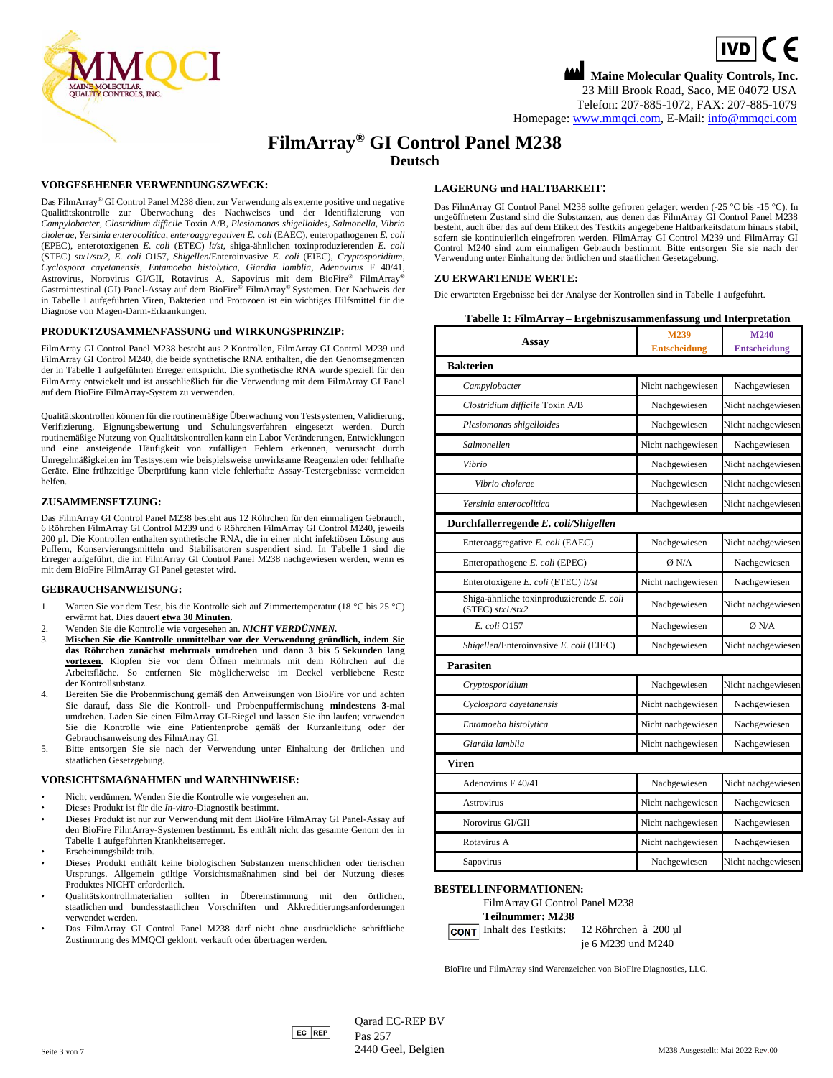

# **Maine Molecular Quality Controls, Inc.**  $\boxed{IVD}$  (  $\in$ 23 Mill Brook Road, Saco, ME 04072 USA Telefon: 207-885-1072, FAX: 207-885-1079 Homepage: [www.mmqci.com,](file://///FS1/Common/Company/CE%20Marking/M238/Translation/Translation%20Received%2005.12.2022/www.mmqci.com) E-Mail[: info@mmqci.com](mailto:info@mmqci.com)

# **FilmArray® GI Control Panel M238 Deutsch**

## **VORGESEHENER VERWENDUNGSZWECK:**

Das FilmArray® GI Control Panel M238 dient zur Verwendung als externe positive und negative Qualitätskontrolle zur Überwachung des Nachweises und der Identifizierung von *Campylobacter, Clostridium difficile* Toxin A/B, *Plesiomonas shigelloides, Salmonella, Vibrio cholerae, Yersinia enterocolitica, enteroaggregativen E. coli* (EAEC), enteropathogenen *E. coli* (EPEC), enterotoxigenen *E. coli* (ETEC) *lt/st,* shiga-ähnlichen toxinproduzierenden *E. coli* (STEC) *stx1/stx2, E. coli* O157, *Shigellen*/Enteroinvasive *E. coli* (EIEC), *Cryptosporidium*, *Cyclospora cayetanensis, Entamoeba histolytica, Giardia lamblia, Adenovirus* F 40/41, Astrovirus, Norovirus GI/GII, Rotavirus A, Sapovirus mit dem BioFire® FilmArray® Gastrointestinal (GI) Panel-Assay auf dem BioFire® FilmArray® Systemen. Der Nachweis der in Tabelle 1 aufgeführten Viren, Bakterien und Protozoen ist ein wichtiges Hilfsmittel für die Diagnose von Magen-Darm-Erkrankungen.

#### **PRODUKTZUSAMMENFASSUNG und WIRKUNGSPRINZIP:**

FilmArray GI Control Panel M238 besteht aus 2 Kontrollen, FilmArray GI Control M239 und FilmArray GI Control M240, die beide synthetische RNA enthalten, die den Genomsegmenten der in Tabelle 1 aufgeführten Erreger entspricht. Die synthetische RNA wurde speziell für den FilmArray entwickelt und ist ausschließlich für die Verwendung mit dem FilmArray GI Panel auf dem BioFire FilmArray-System zu verwenden.

Qualitätskontrollen können für die routinemäßige Überwachung von Testsystemen, Validierung, Verifizierung, Eignungsbewertung und Schulungsverfahren eingesetzt werden. Durch routinemäßige Nutzung von Qualitätskontrollen kann ein Labor Veränderungen, Entwicklungen und eine ansteigende Häufigkeit von zufälligen Fehlern erkennen, verursacht durch Unregelmäßigkeiten im Testsystem wie beispielsweise unwirksame Reagenzien oder fehlhafte Geräte. Eine frühzeitige Überprüfung kann viele fehlerhafte Assay-Testergebnisse vermeiden helfen.

### **ZUSAMMENSETZUNG:**

Das FilmArray GI Control Panel M238 besteht aus 12 Röhrchen für den einmaligen Gebrauch, 6 Röhrchen FilmArray GI Control M239 und 6 Röhrchen FilmArray GI Control M240, jeweils 200 µl. Die Kontrollen enthalten synthetische RNA, die in einer nicht infektiösen Lösung aus Puffern, Konservierungsmitteln und Stabilisatoren suspendiert sind. In Tabelle 1 sind die Erreger aufgeführt, die im FilmArray GI Control Panel M238 nachgewiesen werden, wenn es mit dem BioFire FilmArray GI Panel getestet wird.

## **GEBRAUCHSANWEISUNG:**

- 1. Warten Sie vor dem Test, bis die Kontrolle sich auf Zimmertemperatur (18 °C bis 25 °C) erwärmt hat. Dies dauert **etwa 30 Minuten**.
- 2. Wenden Sie die Kontrolle wie vorgesehen an. *NICHT VERDÜNNEN.*
- 3. **Mischen Sie die Kontrolle unmittelbar vor der Verwendung gründlich, indem Sie das Röhrchen zunächst mehrmals umdrehen und dann 3 bis 5 Sekunden lang vortexen.** Klopfen Sie vor dem Öffnen mehrmals mit dem Röhrchen auf die Arbeitsfläche. So entfernen Sie möglicherweise im Deckel verbliebene Reste der Kontrollsubstanz.
- 4. Bereiten Sie die Probenmischung gemäß den Anweisungen von BioFire vor und achten Sie darauf, dass Sie die Kontroll- und Probenpuffermischung **mindestens 3-mal** umdrehen. Laden Sie einen FilmArray GI-Riegel und lassen Sie ihn laufen; verwenden Sie die Kontrolle wie eine Patientenprobe gemäß der Kurzanleitung oder der Gebrauchsanweisung des FilmArray GI.
- 5. Bitte entsorgen Sie sie nach der Verwendung unter Einhaltung der örtlichen und staatlichen Gesetzgebung.

#### **VORSICHTSMAẞNAHMEN und WARNHINWEISE:**

- Nicht verdünnen. Wenden Sie die Kontrolle wie vorgesehen an.
- Dieses Produkt ist für die *In-vitro*-Diagnostik bestimmt.
- Dieses Produkt ist nur zur Verwendung mit dem BioFire FilmArray GI Panel-Assay auf den BioFire FilmArray-Systemen bestimmt. Es enthält nicht das gesamte Genom der in Tabelle 1 aufgeführten Krankheitserreger.
- Erscheinungsbild: trüb.
- Dieses Produkt enthält keine biologischen Substanzen menschlichen oder tierischen Ursprungs. Allgemein gültige Vorsichtsmaßnahmen sind bei der Nutzung dieses Produktes NICHT erforderlich.
- Qualitätskontrollmaterialien sollten in Übereinstimmung mit den örtlichen, staatlichen und bundesstaatlichen Vorschriften und Akkreditierungsanforderungen verwendet werden.
- Das FilmArray GI Control Panel M238 darf nicht ohne ausdrückliche schriftliche Zustimmung des MMQCI geklont, verkauft oder übertragen werden.

# **LAGERUNG und HALTBARKEIT**:

Das FilmArray GI Control Panel M238 sollte gefroren gelagert werden (-25 °C bis -15 °C). In ungeöffnetem Zustand sind die Substanzen, aus denen das FilmArray GI Control Panel M238 besteht, auch über das auf dem Etikett des Testkits angegebene Haltbarkeitsdatum hinaus stabil, sofern sie kontinuierlich eingefroren werden. FilmArray GI Control M239 und FilmArray GI Control M240 sind zum einmaligen Gebrauch bestimmt. Bitte entsorgen Sie sie nach der Verwendung unter Einhaltung der örtlichen und staatlichen Gesetzgebung.

Die erwarteten Ergebnisse bei der Analyse der Kontrollen sind in Tabelle 1 aufgeführt.

|  | Tabelle 1: FilmArray – Ergebniszusammenfassung und Interpretation |  |  |
|--|-------------------------------------------------------------------|--|--|
|--|-------------------------------------------------------------------|--|--|

| <b>Assay</b>                                                    | M239<br><b>Entscheidung</b> | M240<br><b>Entscheidung</b> |
|-----------------------------------------------------------------|-----------------------------|-----------------------------|
| <b>Bakterien</b>                                                |                             |                             |
| Campylobacter                                                   | Nicht nachgewiesen          | Nachgewiesen                |
| Clostridium difficile Toxin A/B                                 | Nachgewiesen                | Nicht nachgewiesen          |
| Plesiomonas shigelloides                                        | Nachgewiesen                | Nicht nachgewiesen          |
| Salmonellen                                                     | Nicht nachgewiesen          | Nachgewiesen                |
| Vibrio                                                          | Nachgewiesen                | Nicht nachgewiesen          |
| Vibrio cholerae                                                 | Nachgewiesen                | Nicht nachgewiesen          |
| Yersinia enterocolitica                                         | Nachgewiesen                | Nicht nachgewiesen          |
| Durchfallerregende E. coli/Shigellen                            |                             |                             |
| Enteroaggregative E. coli (EAEC)                                | Nachgewiesen                | Nicht nachgewiesen          |
| Enteropathogene E. coli (EPEC)                                  | Ø N/A                       | Nachgewiesen                |
| Enterotoxigene E. coli (ETEC) lt/st                             | Nicht nachgewiesen          | Nachgewiesen                |
| Shiga-ähnliche toxinproduzierende E. coli<br>$(STEC)$ stx1/stx2 | Nachgewiesen                | Nicht nachgewiesen          |
| E. coli 0157                                                    | Nachgewiesen                | Ø N/A                       |
| Shigellen/Enteroinvasive E. coli (EIEC)                         | Nachgewiesen                | Nicht nachgewiesen          |
| Parasiten                                                       |                             |                             |
| Cryptosporidium                                                 | Nachgewiesen                | Nicht nachgewiesen          |
| Cyclospora cayetanensis                                         | Nicht nachgewiesen          | Nachgewiesen                |
| Entamoeba histolytica                                           | Nicht nachgewiesen          | Nachgewiesen                |
| Giardia lamblia                                                 | Nicht nachgewiesen          | Nachgewiesen                |
| Viren                                                           |                             |                             |
| Adenovirus F 40/41                                              | Nachgewiesen                | Nicht nachgewiesen          |
| Astrovirus                                                      | Nicht nachgewiesen          | Nachgewiesen                |
| Norovirus GI/GII                                                | Nicht nachgewiesen          | Nachgewiesen                |
| Rotavirus A                                                     | Nicht nachgewiesen          | Nachgewiesen                |
| Sapovirus                                                       | Nachgewiesen                | Nicht nachgewiesen          |

# **BESTELLINFORMATIONEN:**

FilmArray GI Control Panel M238 **Teilnummer: M238** Inhalt des Testkits: 12 Röhrchen à 200 µl

je 6 M239 und M240

BioFire und FilmArray sind Warenzeichen von BioFire Diagnostics, LLC.

#### **ZU ERWARTENDE WERTE:**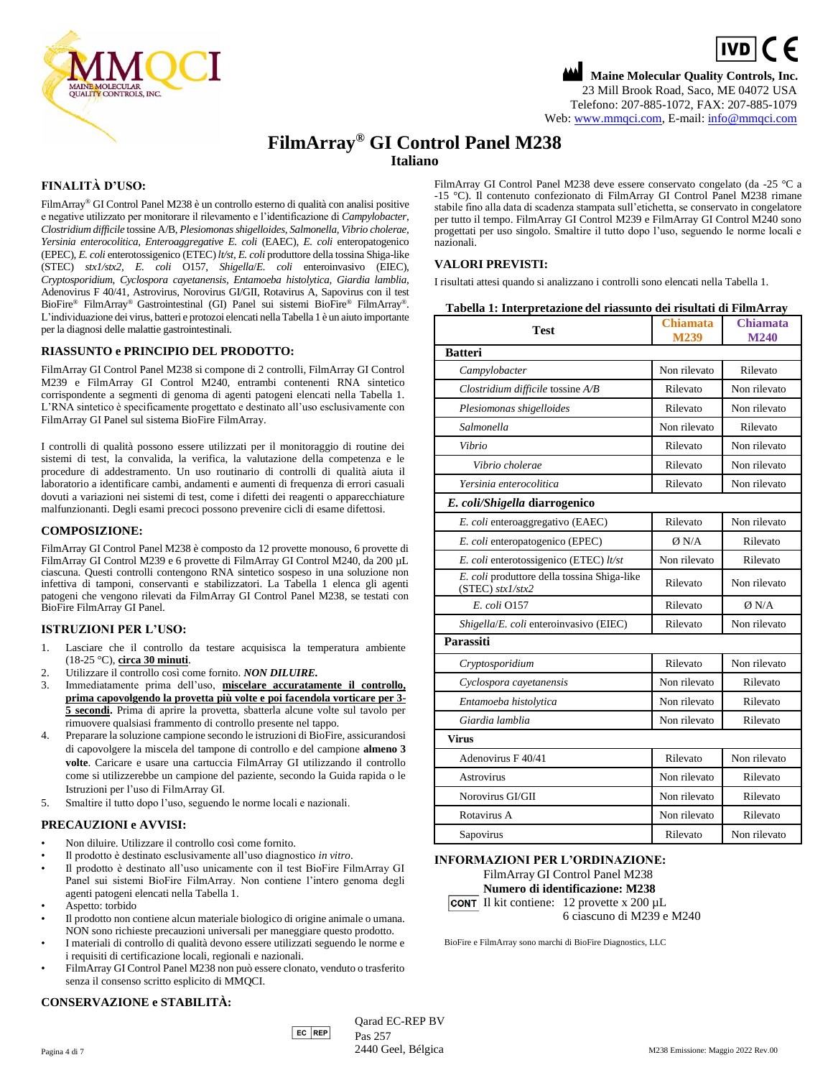

# **Maine Molecular Quality Controls, Inc.**  $\boxed{IVD}$  (  $\in$ 23 Mill Brook Road, Saco, ME 04072 USA Telefono: 207-885-1072, FAX: 207-885-1079 Web: [www.mmqci.com,](file://///FS1/Common/Company/CE%20Marking/M238/Translation/Translation%20Received%2005.12.2022/www.mmqci.com) E-mail[: info@mmqci.com](mailto:info@mmqci.com)

# **FilmArray® GI Control Panel M238 Italiano**

# **FINALITÀ D'USO:**

FilmArray® GI Control Panel M238 è un controllo esterno di qualità con analisi positive e negative utilizzato per monitorare il rilevamento e l'identificazione di *Campylobacter, Clostridium difficile* tossine A/B, *Plesiomonas shigelloides, Salmonella, Vibrio cholerae, Yersinia enterocolitica, Enteroaggregative E. coli* (EAEC), *E. coli* enteropatogenico (EPEC), *E. coli* enterotossigenico (ETEC) *lt/st, E. coli* produttore della tossina Shiga-like (STEC) *stx1/stx2, E. coli* O157, *Shigella*/*E. coli* enteroinvasivo (EIEC), *Cryptosporidium*, *Cyclospora cayetanensis, Entamoeba histolytica, Giardia lamblia,*  Adenovirus F 40/41, Astrovirus, Norovirus GI/GII, Rotavirus A, Sapovirus con il test BioFire® FilmArray® Gastrointestinal (GI) Panel sui sistemi BioFire® FilmArray® . L'individuazione dei virus, batteri e protozoi elencati nella Tabella 1 è un aiuto importante per la diagnosi delle malattie gastrointestinali.

# **RIASSUNTO e PRINCIPIO DEL PRODOTTO:**

FilmArray GI Control Panel M238 si compone di 2 controlli, FilmArray GI Control M239 e FilmArray GI Control M240, entrambi contenenti RNA sintetico corrispondente a segmenti di genoma di agenti patogeni elencati nella Tabella 1. L'RNA sintetico è specificamente progettato e destinato all'uso esclusivamente con FilmArray GI Panel sul sistema BioFire FilmArray.

I controlli di qualità possono essere utilizzati per il monitoraggio di routine dei sistemi di test, la convalida, la verifica, la valutazione della competenza e le procedure di addestramento. Un uso routinario di controlli di qualità aiuta il laboratorio a identificare cambi, andamenti e aumenti di frequenza di errori casuali dovuti a variazioni nei sistemi di test, come i difetti dei reagenti o apparecchiature malfunzionanti. Degli esami precoci possono prevenire cicli di esame difettosi.

# **COMPOSIZIONE:**

FilmArray GI Control Panel M238 è composto da 12 provette monouso, 6 provette di FilmArray GI Control M239 e 6 provette di FilmArray GI Control M240, da 200 µL ciascuna. Questi controlli contengono RNA sintetico sospeso in una soluzione non infettiva di tamponi, conservanti e stabilizzatori. La Tabella 1 elenca gli agenti patogeni che vengono rilevati da FilmArray GI Control Panel M238, se testati con BioFire FilmArray GI Panel.

# **ISTRUZIONI PER L'USO:**

- 1. Lasciare che il controllo da testare acquisisca la temperatura ambiente (18-25 °C), **circa 30 minuti**.
- 2. Utilizzare il controllo così come fornito. *NON DILUIRE.*
- 3. Immediatamente prima dell'uso, **miscelare accuratamente il controllo, prima capovolgendo la provetta più volte e poi facendola vorticare per 3- 5 secondi.** Prima di aprire la provetta, sbatterla alcune volte sul tavolo per rimuovere qualsiasi frammento di controllo presente nel tappo.
- 4. Preparare la soluzione campione secondo le istruzioni di BioFire, assicurandosi di capovolgere la miscela del tampone di controllo e del campione **almeno 3 volte**. Caricare e usare una cartuccia FilmArray GI utilizzando il controllo come si utilizzerebbe un campione del paziente, secondo la Guida rapida o le Istruzioni per l'uso di FilmArray GI.
- 5. Smaltire il tutto dopo l'uso, seguendo le norme locali e nazionali.

# **PRECAUZIONI e AVVISI:**

- Non diluire. Utilizzare il controllo così come fornito.
- Il prodotto è destinato esclusivamente all'uso diagnostico *in vitro*.
- Il prodotto è destinato all'uso unicamente con il test BioFire FilmArray GI Panel sui sistemi BioFire FilmArray. Non contiene l'intero genoma degli agenti patogeni elencati nella Tabella 1.
- Aspetto: torbido
- Il prodotto non contiene alcun materiale biologico di origine animale o umana. NON sono richieste precauzioni universali per maneggiare questo prodotto.
- I materiali di controllo di qualità devono essere utilizzati seguendo le norme e i requisiti di certificazione locali, regionali e nazionali.
- FilmArray GI Control Panel M238 non può essere clonato, venduto o trasferito senza il consenso scritto esplicito di MMQCI.

# **CONSERVAZIONE e STABILITÀ:**

FilmArray GI Control Panel M238 deve essere conservato congelato (da -25 °C a -15 °C). Il contenuto confezionato di FilmArray GI Control Panel M238 rimane stabile fino alla data di scadenza stampata sull'etichetta, se conservato in congelatore per tutto il tempo. FilmArray GI Control M239 e FilmArray GI Control M240 sono progettati per uso singolo. Smaltire il tutto dopo l'uso, seguendo le norme locali e nazionali.

# **VALORI PREVISTI:**

I risultati attesi quando si analizzano i controlli sono elencati nella Tabella 1.

| Tabella 1: Interpretazione del riassunto dei risultati di FilmArray |  |  |  |  |
|---------------------------------------------------------------------|--|--|--|--|
|---------------------------------------------------------------------|--|--|--|--|

| <b>Test</b>                                                       | <b>Chiamata</b><br>M239 | <b>Chiamata</b><br>M240 |
|-------------------------------------------------------------------|-------------------------|-------------------------|
| <b>Batteri</b>                                                    |                         |                         |
| Campylobacter                                                     | Non rilevato            | Rilevato                |
| Clostridium difficile tossine A/B                                 | Rilevato                | Non rilevato            |
| Plesiomonas shigelloides                                          | Rilevato                | Non rilevato            |
| Salmonella                                                        | Non rilevato            | Rilevato                |
| Vibrio                                                            | Rilevato                | Non rilevato            |
| Vibrio cholerae                                                   | Rilevato                | Non rilevato            |
| Yersinia enterocolitica                                           | Rilevato                | Non rilevato            |
| E. coli/Shigella diarrogenico                                     |                         |                         |
| E. coli enteroaggregativo (EAEC)                                  | Rilevato                | Non rilevato            |
| E. coli enteropatogenico (EPEC)                                   | Ø N/A                   | Rilevato                |
| E. coli enterotossigenico (ETEC) lt/st                            | Non rilevato            | Rilevato                |
| E. coli produttore della tossina Shiga-like<br>$(STEC)$ stx1/stx2 | Rilevato                | Non rilevato            |
| E. coli 0157                                                      | Rilevato                | Ø N/A                   |
| Shigella/E. coli enteroinvasivo (EIEC)                            | Rilevato                | Non rilevato            |
| Parassiti                                                         |                         |                         |
| Cryptosporidium                                                   | Rilevato                | Non rilevato            |
| Cyclospora cayetanensis                                           | Non rilevato            | Rilevato                |
| Entamoeba histolytica                                             | Non rilevato            | Rilevato                |
| Giardia lamblia                                                   | Non rilevato            | Rilevato                |
| <b>Virus</b>                                                      |                         |                         |
| Adenovirus F 40/41                                                | Rilevato                | Non rilevato            |
| <b>Astrovirus</b>                                                 | Non rilevato            | Rilevato                |
| Norovirus GI/GII                                                  | Non rilevato            | Rilevato                |
| Rotavirus A                                                       | Non rilevato            | Rilevato                |
| Sapovirus                                                         | Rilevato                | Non rilevato            |
|                                                                   |                         |                         |

#### **INFORMAZIONI PER L'ORDINAZIONE:**

FilmArray GI Control Panel M238 **Numero di identificazione: M238 CONT** Il kit contiene:  $12$  provette x  $200 \mu L$ 

6 ciascuno di M239 e M240

BioFire e FilmArray sono marchi di BioFire Diagnostics, LLC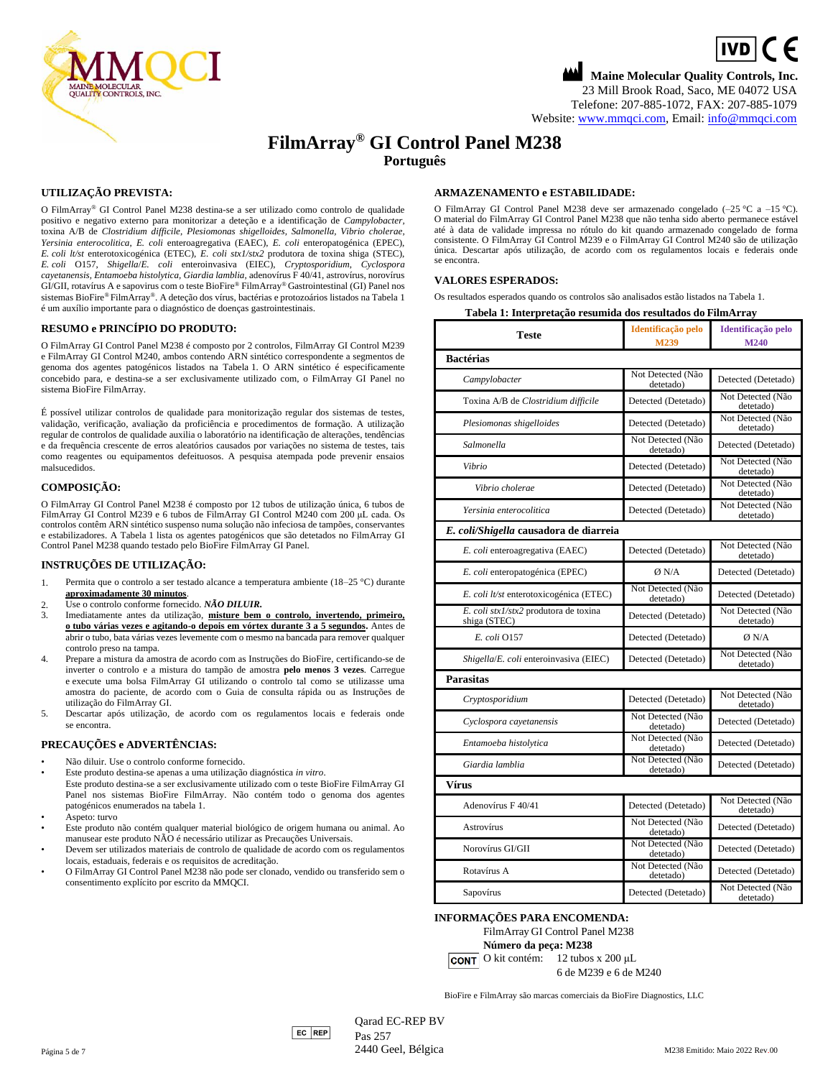

# **Maine Molecular Quality Controls, Inc.**  $\boxed{IVD}$  (  $\in$ 23 Mill Brook Road, Saco, ME 04072 USA Telefone: 207-885-1072, FAX: 207-885-1079 Website: [www.mmqci.com,](file://///FS1/Common/Company/CE%20Marking/M238/Translation/Translation%20Received%2005.12.2022/www.mmqci.com) Email[: info@mmqci.com](mailto:info@mmqci.com)

# **FilmArray® GI Control Panel M238 Português**

# **UTILIZAÇÃO PREVISTA:**

O FilmArray® GI Control Panel M238 destina-se a ser utilizado como controlo de qualidade positivo e negativo externo para monitorizar a deteção e a identificação de *Campylobacter,* toxina A/B de *Clostridium difficile*, *Plesiomonas shigelloides, Salmonella, Vibrio cholerae, Yersinia enterocolitica*, *E. coli* enteroagregativa (EAEC), *E. coli* enteropatogénica (EPEC), *E. coli lt/st* enterotoxicogénica (ETEC), *E. coli stx1/stx2* produtora de toxina shiga (STEC), *E. coli* O157, *Shigella*/*E. coli* enteroinvasiva (EIEC), *Cryptosporidium*, *Cyclospora cayetanensis, Entamoeba histolytica, Giardia lamblia,* adenovírus F 40/41, astrovírus, norovírus GI/GII, rotavírus A e sapovirus com o teste BioFire® FilmArray® Gastrointestinal (GI) Panel nos sistemas BioFire® FilmArray®. A deteção dos vírus, bactérias e protozoários listados na Tabela 1 é um auxílio importante para o diagnóstico de doenças gastrointestinais.

## **RESUMO e PRINCÍPIO DO PRODUTO:**

O FilmArray GI Control Panel M238 é composto por 2 controlos, FilmArray GI Control M239 e FilmArray GI Control M240, ambos contendo ARN sintético correspondente a segmentos de genoma dos agentes patogénicos listados na Tabela 1. O ARN sintético é especificamente concebido para, e destina-se a ser exclusivamente utilizado com, o FilmArray GI Panel no sistema BioFire FilmArray.

É possível utilizar controlos de qualidade para monitorização regular dos sistemas de testes, validação, verificação, avaliação da proficiência e procedimentos de formação. A utilização regular de controlos de qualidade auxilia o laboratório na identificação de alterações, tendências e da frequência crescente de erros aleatórios causados por variações no sistema de testes, tais como reagentes ou equipamentos defeituosos. A pesquisa atempada pode prevenir ensaios malsucedidos.

## **COMPOSIÇÃO:**

O FilmArray GI Control Panel M238 é composto por 12 tubos de utilização única, 6 tubos de FilmArray GI Control M239 e 6 tubos de FilmArray GI Control M240 com 200 μL cada. Os controlos contêm ARN sintético suspenso numa solução não infeciosa de tampões, conservantes e estabilizadores. A Tabela 1 lista os agentes patogénicos que são detetados no FilmArray GI Control Panel M238 quando testado pelo BioFire FilmArray GI Panel.

#### **INSTRUÇÕES DE UTILIZAÇÃO:**

- 1. Permita que o controlo a ser testado alcance a temperatura ambiente (18–25 °C) durante **aproximadamente 30 minutos**.
- 2. Use o controlo conforme fornecido. *NÃO DILUIR.*
- 3. Imediatamente antes da utilização, **misture bem o controlo, invertendo, primeiro, o tubo várias vezes e agitando-o depois em vórtex durante 3 a 5 segundos.** Antes de abrir o tubo, bata várias vezes levemente com o mesmo na bancada para remover qualquer controlo preso na tampa.
- 4. Prepare a mistura da amostra de acordo com as Instruções do BioFire, certificando-se de inverter o controlo e a mistura do tampão de amostra **pelo menos 3 vezes**. Carregue e execute uma bolsa FilmArray GI utilizando o controlo tal como se utilizasse uma amostra do paciente, de acordo com o Guia de consulta rápida ou as Instruções de utilização do FilmArray GI.
- 5. Descartar após utilização, de acordo com os regulamentos locais e federais onde se encontra.

#### **PRECAUÇÕES e ADVERTÊNCIAS:**

- Não diluir. Use o controlo conforme fornecido.
- Este produto destina-se apenas a uma utilização diagnóstica *in vitro*. Este produto destina-se a ser exclusivamente utilizado com o teste BioFire FilmArray GI Panel nos sistemas BioFire FilmArray. Não contém todo o genoma dos agentes patogénicos enumerados na tabela 1.
- Aspeto: turvo
- Este produto não contém qualquer material biológico de origem humana ou animal. Ao manusear este produto NÃO é necessário utilizar as Precauções Universais.
- Devem ser utilizados materiais de controlo de qualidade de acordo com os regulamentos locais, estaduais, federais e os requisitos de acreditação.
- O FilmArray GI Control Panel M238 não pode ser clonado, vendido ou transferido sem o consentimento explícito por escrito da MMQCI.

## **ARMAZENAMENTO e ESTABILIDADE:**

O FilmArray GI Control Panel M238 deve ser armazenado congelado (–25 °C a –15 °C). O material do FilmArray GI Control Panel M238 que não tenha sido aberto permanece estável até à data de validade impressa no rótulo do kit quando armazenado congelado de forma consistente. O FilmArray GI Control M239 e o FilmArray GI Control M240 são de utilização única. Descartar após utilização, de acordo com os regulamentos locais e federais onde se encontra.

## **VALORES ESPERADOS:**

Os resultados esperados quando os controlos são analisados estão listados na Tabela 1.

#### **Tabela 1: Interpretação resumida dos resultados do FilmArray**

| <b>Teste</b>                                          | Identificação pelo<br>M239     | Identificação pelo<br>M240     |
|-------------------------------------------------------|--------------------------------|--------------------------------|
| <b>Bactérias</b>                                      |                                |                                |
| Campylobacter                                         | Not Detected (Não<br>detetado) | Detected (Detetado)            |
| Toxina A/B de Clostridium difficile                   | Detected (Detetado)            | Not Detected (Não<br>detetado) |
| Plesiomonas shigelloides                              | Detected (Detetado)            | Not Detected (Não<br>detetado) |
| Salmonella                                            | Not Detected (Não<br>detetado) | Detected (Detetado)            |
| Vibrio                                                | Detected (Detetado)            | Not Detected (Não<br>detetado) |
| Vibrio cholerae                                       | Detected (Detetado)            | Not Detected (Não<br>detetado) |
| Yersinia enterocolitica                               | Detected (Detetado)            | Not Detected (Não<br>detetado) |
| E. coli/Shigella causadora de diarreia                |                                |                                |
| E. coli enteroagregativa (EAEC)                       | Detected (Detetado)            | Not Detected (Não<br>detetado) |
| E. coli enteropatogénica (EPEC)                       | Ø N/A                          | Detected (Detetado)            |
| E. coli lt/st enterotoxicogénica (ETEC)               | Not Detected (Não<br>detetado) | Detected (Detetado)            |
| E. coli stx1/stx2 produtora de toxina<br>shiga (STEC) | Detected (Detetado)            | Not Detected (Não<br>detetado) |
| E. coli 0157                                          | Detected (Detetado)            | Ø N/A                          |
| Shigella/E. coli enteroinvasiva (EIEC)                | Detected (Detetado)            | Not Detected (Não<br>detetado) |
| <b>Parasitas</b>                                      |                                |                                |
| Cryptosporidium                                       | Detected (Detetado)            | Not Detected (Não<br>detetado) |
| Cyclospora cayetanensis                               | Not Detected (Não<br>detetado) | Detected (Detetado)            |
| Entamoeba histolytica                                 | Not Detected (Não<br>detetado) | Detected (Detetado)            |
| Giardia lamblia                                       | Not Detected (Não<br>detetado) | Detected (Detetado)            |
| Vírus                                                 |                                |                                |
| Adenovírus F 40/41                                    | Detected (Detetado)            | Not Detected (Não<br>detetado) |
| <b>Astrovírus</b>                                     | Not Detected (Não<br>detetado) | Detected (Detetado)            |
| Norovírus GI/GII                                      | Not Detected (Não<br>detetado) | Detected (Detetado)            |
| Rotavírus A                                           | Not Detected (Não<br>detetado) | Detected (Detetado)            |
| Sapovírus                                             | Detected (Detetado)            | Not Detected (Não<br>detetado) |

**INFORMAÇÕES PARA ENCOMENDA:**

FilmArray GI Control Panel M238 **Número da peça: M238**

O kit contém: 12 tubos x 200 μL 6 de M239 e 6 de M240

BioFire e FilmArray são marcas comerciais da BioFire Diagnostics, LLC

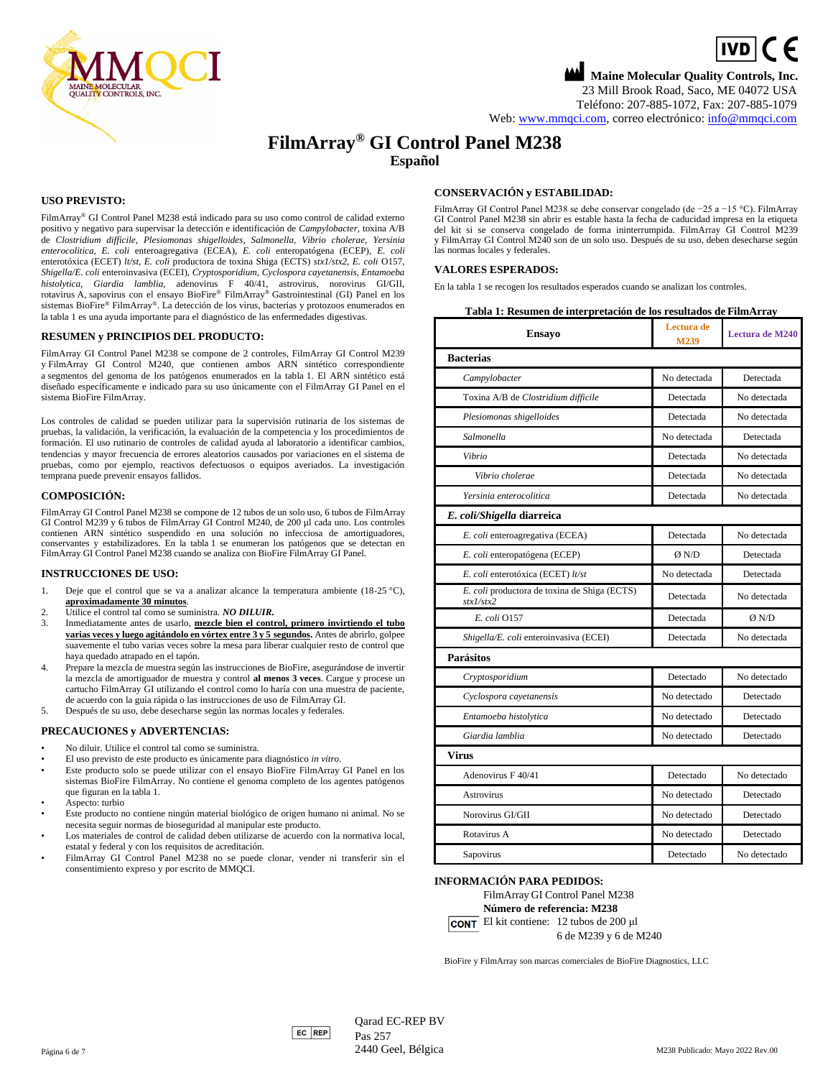

# **Maine Molecular Quality Controls, Inc.**  $\boxed{IVD}$  (  $\in$ 23 Mill Brook Road, Saco, ME 04072 USA Teléfono: 207-885-1072, Fax: 207-885-1079 Web[: www.mmqci.com,](file://///FS1/Common/Company/CE%20Marking/M238/Translation/Translation%20Received%2005.12.2022/www.mmqci.com) correo electrónico[: info@mmqci.com](mailto:info@mmqci.com)

# **FilmArray® GI Control Panel M238 Español**

# **USO PREVISTO:**

FilmArray® GI Control Panel M238 está indicado para su uso como control de calidad externo positivo y negativo para supervisar la detección e identificación de *Campylobacter,* toxina A/B de *Clostridium difficile*, *Plesiomonas shigelloides, Salmonella, Vibrio cholerae, Yersinia enterocolitica, E. coli* enteroagregativa (ECEA), *E. coli* enteropatógena (ECEP), *E. coli* enterotóxica (ECET) *lt/st, E. coli* productora de toxina Shiga (ECTS) *stx1/stx2, E. coli* O157, *Shigella/E. coli* enteroinvasiva (ECEI), *Cryptosporidium*, *Cyclospora cayetanensis, Entamoeba histolytica, Giardia lamblia,* adenovirus F 40/41, astrovirus, norovirus GI/GII, rotavirus A, sapovirus con el ensayo BioFire® FilmArray® Gastrointestinal (GI) Panel en los sistemas BioFire® FilmArray®. La detección de los virus, bacterias y protozoos enumerados en la tabla 1 es una ayuda importante para el diagnóstico de las enfermedades digestivas.

#### **RESUMEN y PRINCIPIOS DEL PRODUCTO:**

FilmArray GI Control Panel M238 se compone de 2 controles, FilmArray GI Control M239 y FilmArray GI Control M240, que contienen ambos ARN sintético correspondiente a segmentos del genoma de los patógenos enumerados en la tabla 1. El ARN sintético está diseñado específicamente e indicado para su uso únicamente con el FilmArray GI Panel en el sistema BioFire FilmArray.

Los controles de calidad se pueden utilizar para la supervisión rutinaria de los sistemas de pruebas, la validación, la verificación, la evaluación de la competencia y los procedimientos de formación. El uso rutinario de controles de calidad ayuda al laboratorio a identificar cambios, tendencias y mayor frecuencia de errores aleatorios causados por variaciones en el sistema de pruebas, como por ejemplo, reactivos defectuosos o equipos averiados. La investigación temprana puede prevenir ensayos fallidos.

#### **COMPOSICIÓN:**

FilmArray GI Control Panel M238 se compone de 12 tubos de un solo uso, 6 tubos de FilmArray GI Control M239 y 6 tubos de FilmArray GI Control M240, de 200 µl cada uno. Los controles contienen ARN sintético suspendido en una solución no infecciosa de amortiguadores, conservantes y estabilizadores. En la tabla 1 se enumeran los patógenos que se detectan en FilmArray GI Control Panel M238 cuando se analiza con BioFire FilmArray GI Panel.

#### **INSTRUCCIONES DE USO:**

- 1. Deje que el control que se va a analizar alcance la temperatura ambiente (18-25 °C), **aproximadamente 30 minutos**.
- 2. Utilice el control tal como se suministra. *NO DILUIR.*
- 3. Inmediatamente antes de usarlo, **mezcle bien el control, primero invirtiendo el tubo varias veces y luego agitándolo en vórtex entre 3 y 5 segundos.** Antes de abrirlo, golpee suavemente el tubo varias veces sobre la mesa para liberar cualquier resto de control que haya quedado atrapado en el tapón.
- 4. Prepare la mezcla de muestra según las instrucciones de BioFire, asegurándose de invertir la mezcla de amortiguador de muestra y control **al menos 3 veces**. Cargue y procese un cartucho FilmArray GI utilizando el control como lo haría con una muestra de paciente, de acuerdo con la guía rápida o las instrucciones de uso de FilmArray GI.
- 5. Después de su uso, debe desecharse según las normas locales y federales.

#### **PRECAUCIONES y ADVERTENCIAS:**

- No diluir. Utilice el control tal como se suministra.
- El uso previsto de este producto es únicamente para diagnóstico *in vitro*.
- Este producto solo se puede utilizar con el ensayo BioFire FilmArray GI Panel en los sistemas BioFire FilmArray. No contiene el genoma completo de los agentes patógenos que figuran en la tabla 1.
- Aspecto: turbio
- Este producto no contiene ningún material biológico de origen humano ni animal. No se necesita seguir normas de bioseguridad al manipular este producto.
- Los materiales de control de calidad deben utilizarse de acuerdo con la normativa local, estatal y federal y con los requisitos de acreditación.
- FilmArray GI Control Panel M238 no se puede clonar, vender ni transferir sin el consentimiento expreso y por escrito de MMQCI.

### **CONSERVACIÓN y ESTABILIDAD:**

FilmArray GI Control Panel M238 se debe conservar congelado (de −25 a −15 °C). FilmArray GI Control Panel M238 sin abrir es estable hasta la fecha de caducidad impresa en la etiqueta del kit si se conserva congelado de forma ininterrumpida. FilmArray GI Control M239 y FilmArray GI Control M240 son de un solo uso. Después de su uso, deben desecharse según las normas locales y federales.

#### **VALORES ESPERADOS:**

En la tabla 1 se recogen los resultados esperados cuando se analizan los controles.

# **Tabla 1: Resumen de interpretación de los resultados de FilmArray**

| <b>Ensayo</b>                                             | Lectura de<br>M239 | <b>Lectura de M240</b> |
|-----------------------------------------------------------|--------------------|------------------------|
| <b>Bacterias</b>                                          |                    |                        |
| Campylobacter                                             | No detectada       | Detectada              |
| Toxina A/B de Clostridium difficile                       | Detectada          | No detectada           |
| Plesiomonas shigelloides                                  | Detectada          | No detectada           |
| Salmonella                                                | No detectada       | Detectada              |
| Vibrio                                                    | Detectada          | No detectada           |
| Vibrio cholerae                                           | Detectada          | No detectada           |
| Yersinia enterocolitica                                   | Detectada          | No detectada           |
| E. coli/Shigella diarreica                                |                    |                        |
| E. coli enteroagregativa (ECEA)                           | Detectada          | No detectada           |
| E. coli enteropatógena (ECEP)                             | Ø N/D              | Detectada              |
| E. coli enterotóxica (ECET) lt/st                         | No detectada       | Detectada              |
| E. coli productora de toxina de Shiga (ECTS)<br>stx1/stx2 | Detectada          | No detectada           |
| E. coli 0157                                              | Detectada          | Ø N/D                  |
| Shigella/E. coli enteroinvasiva (ECEI)                    | Detectada          | No detectada           |
| Parásitos                                                 |                    |                        |
| Cryptosporidium                                           | Detectado          | No detectado           |
| Cyclospora cayetanensis                                   | No detectado       | Detectado              |
| Entamoeba histolytica                                     | No detectado       | Detectado              |
| Giardia lamblia                                           | No detectado       | Detectado              |
| Virus                                                     |                    |                        |
| Adenovirus F 40/41                                        | Detectado          | No detectado           |
| <b>Astrovirus</b>                                         | No detectado       | Detectado              |
| Norovirus GI/GII                                          | No detectado       | Detectado              |
| Rotavirus A                                               | No detectado       | Detectado              |
| Sapovirus                                                 | Detectado          | No detectado           |

#### **INFORMACIÓN PARA PEDIDOS:**

FilmArray GI Control Panel M238

**Número de referencia: M238**

El kit contiene: 12 tubos de 200 μl 6 de M239 y 6 de M240

BioFire y FilmArray son marcas comerciales de BioFire Diagnostics, LLC



 $Qarad EC-REP BV$ Pas 257 Página 6 de 7 *2440 Geel, Bélgica* M238 Publicado: Mayo 2022 Rev.00